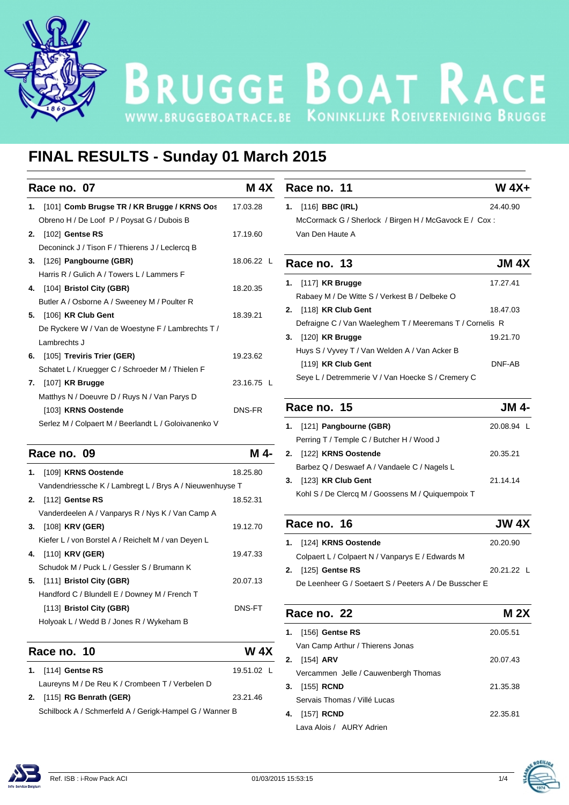

# BRUGGE BOAT RACE

## **FINAL RESULTS - Sunday 01 March 2015**

| Race no. 07                                              | <b>M 4X</b>   | Race no. 11                                                         | $W 4X+$      |
|----------------------------------------------------------|---------------|---------------------------------------------------------------------|--------------|
| 1. [101] Comb Brugse TR / KR Brugge / KRNS Oos           | 17.03.28      | 1. $[116]$ BBC (IRL)                                                | 24.40.90     |
| Obreno H / De Loof P / Poysat G / Dubois B               |               | McCormack G / Sherlock / Birgen H / McGavock E / Cox:               |              |
| 2. [102] Gentse RS                                       | 17.19.60      | Van Den Haute A                                                     |              |
| Deconinck J / Tison F / Thierens J / Leclercq B          |               |                                                                     |              |
| 3. [126] Pangbourne (GBR)                                | 18.06.22 L    | Race no. 13                                                         | <b>JM 4X</b> |
| Harris R / Gulich A / Towers L / Lammers F               |               |                                                                     |              |
| [104] Bristol City (GBR)                                 | 18.20.35      | 1. [117] KR Brugge                                                  | 17.27.41     |
| Butler A / Osborne A / Sweeney M / Poulter R             |               | Rabaey M / De Witte S / Verkest B / Delbeke O                       |              |
| 5. [106] KR Club Gent                                    | 18.39.21      | 2. [118] KR Club Gent                                               | 18.47.03     |
| De Ryckere W / Van de Woestyne F / Lambrechts T /        |               | Defraigne C / Van Waeleghem T / Meeremans T / Cornelis R            |              |
| Lambrechts J                                             |               | 3. [120] KR Brugge                                                  | 19.21.70     |
| [105] Treviris Trier (GER)<br>6.                         | 19.23.62      | Huys S / Vyvey T / Van Welden A / Van Acker B                       |              |
| Schatet L / Kruegger C / Schroeder M / Thielen F         |               | [119] KR Club Gent                                                  | DNF-AB       |
| 7. [107] KR Brugge                                       | 23.16.75 L    | Seye L / Detremmerie V / Van Hoecke S / Cremery C                   |              |
| Matthys N / Doeuvre D / Ruys N / Van Parys D             |               |                                                                     |              |
| [103] KRNS Oostende                                      | <b>DNS-FR</b> | Race no. 15                                                         | <b>JM4-</b>  |
| Serlez M / Colpaert M / Beerlandt L / Goloivanenko V     |               | 1. [121] Pangbourne (GBR)                                           | 20.08.94 L   |
| Race no. 09                                              | M 4-          | Perring T / Temple C / Butcher H / Wood J<br>2. [122] KRNS Oostende | 20.35.21     |
| 1. [109] KRNS Oostende                                   | 18.25.80      | Barbez Q / Deswaef A / Vandaele C / Nagels L                        |              |
| Vandendriessche K / Lambregt L / Brys A / Nieuwenhuyse T |               | 3. [123] KR Club Gent                                               | 21.14.14     |
| 2. [112] Gentse RS                                       | 18.52.31      | Kohl S / De Clercq M / Goossens M / Quiquempoix T                   |              |
| Vanderdeelen A / Vanparys R / Nys K / Van Camp A         |               |                                                                     |              |
| 3. [108] KRV (GER)                                       | 19.12.70      | Race no. 16                                                         | <b>JW 4X</b> |
| Kiefer L / von Borstel A / Reichelt M / van Deyen L      |               | 1. [124] KRNS Oostende                                              | 20.20.90     |
| [110] <b>KRV (GER)</b><br>4.                             | 19.47.33      | Colpaert L / Colpaert N / Vanparys E / Edwards M                    |              |
| Schudok M / Puck L / Gessler S / Brumann K               |               | 2. [125] Gentse RS                                                  | 20.21.22 L   |
| [111] Bristol City (GBR)<br>5.                           | 20.07.13      | De Leenheer G / Soetaert S / Peeters A / De Busscher E              |              |
| Handford C / Blundell E / Downey M / French T            |               |                                                                     |              |
| $[113]$ Bristol City (GBR)                               | <b>DNS-FT</b> | $Dao no$<br>າາ                                                      | NA OV        |

**Race no. 10 W 4X 1.** [114] **Gentse RS** 19.51.02 L Laureyns M / De Reu K / Crombeen T / Verbelen D **2.** [115] **RG Benrath (GER)** 23.21.46 Schilbock A / Schmerfeld A / Gerigk-Hampel G / Wanner B

Holyoak L / Wedd B / Jones R / Wykeham B

**2.** [125] **Gentse RS** 20.21.22 L **Race no. 22 M 2X 1.** [156] **Gentse RS** 20.05.51 Van Camp Arthur / Thierens Jonas **2.** [154] **ARV** 20.07.43 Vercammen Jelle / Cauwenbergh Thomas **3.** [155] **RCND** 21.35.38 Servais Thomas / Villé Lucas **4.** [157] **RCND** 22.35.81 Lava Alois / AURY Adrien



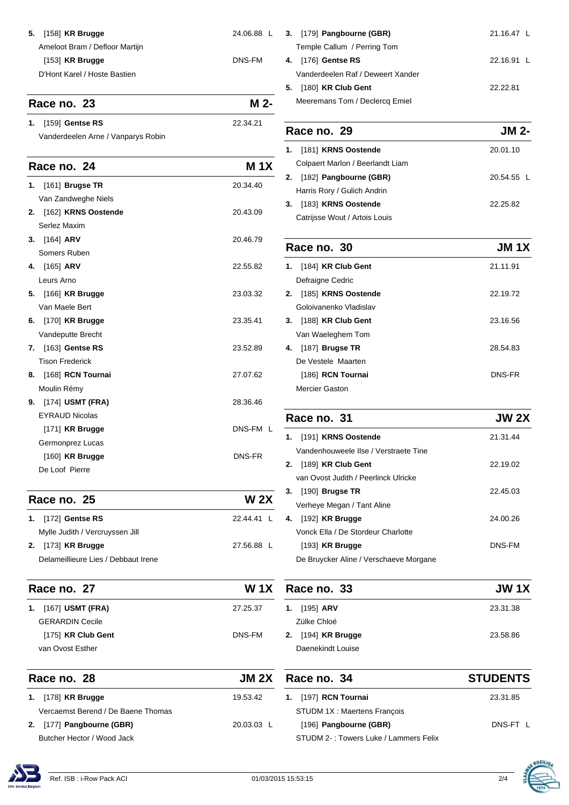| <b>5.</b> [158] <b>KR Brugge</b> | 24.06.88 L |  |
|----------------------------------|------------|--|
| Ameloot Bram / Defloor Martijn   |            |  |
| $[153]$ KR Brugge                | DNS-FM     |  |
| D'Hont Karel / Hoste Bastien     |            |  |
|                                  |            |  |

## **Race no. 23 M 2-**

**1.** [159] **Gentse RS** 22.34.21 Vanderdeelen Arne / Vanparys Robin

#### **Race no. 24 M 1X**

| 1. | $[161]$ Brugse TR                | 20.34.40 |
|----|----------------------------------|----------|
|    | Van Zandweghe Niels              |          |
|    | 2. [162] KRNS Oostende           | 20.43.09 |
|    | Serlez Maxim                     |          |
| 3. | $[164]$ ARV                      | 20.46.79 |
|    | Somers Ruben                     |          |
|    | 4. [165] ARV                     | 22.55.82 |
|    | Leurs Arno                       |          |
|    | <b>5.</b> [166] <b>KR Brugge</b> | 23.03.32 |
|    | Van Maele Bert                   |          |
| 6. | $[170]$ KR Brugge                | 23.35.41 |
|    | Vandeputte Brecht                |          |
| 7. | [163] Gentse RS                  | 23.52.89 |
|    | <b>Tison Frederick</b>           |          |
| 8. | [168] RCN Tournai                | 27.07.62 |
|    | Moulin Rémy                      |          |
| 9. | $[174]$ USMT (FRA)               | 28.36.46 |
|    | <b>EYRAUD Nicolas</b>            |          |
|    | $[171]$ KR Brugge                | DNS-FM L |
|    | Germonprez Lucas                 |          |
|    | $[160]$ KR Brugge                | DNS-FR   |
|    | De Loof Pierre                   |          |

#### **Race no. 25 W 2X 1.** [172] **Gentse RS** 22.44.41 L Mylle Judith / Vercruyssen Jill **2.** [173] **KR Brugge** 27.56.88 L Delameillieure Lies / Debbaut Irene

| Race no. 27                | W 1X     |
|----------------------------|----------|
| <b>1.</b> [167] USMT (FRA) | 27.25.37 |
| <b>GERARDIN Cecile</b>     |          |
| $[175]$ KR Club Gent       | DNS-FM   |
| van Ovost Esther           |          |

| Race no. 28                        | <b>JM 2X</b> |  |
|------------------------------------|--------------|--|
| 1. [178] <b>KR Brugge</b>          | 19.53.42     |  |
| Vercaemst Berend / De Baene Thomas |              |  |
| 2. [177] Pangbourne (GBR)          | $20.03.03$ L |  |
| Butcher Hector / Wood Jack         |              |  |

| 3. [179] Pangbourne (GBR)         | 21.16.47 $\lfloor$ |
|-----------------------------------|--------------------|
| Temple Callum / Perring Tom       |                    |
| $[176]$ Gentse RS<br>4.           | 22.16.91 L         |
| Vanderdeelen Raf / Deweert Xander |                    |
| $[180]$ KR Club Gent<br>5.        | 22.22.81           |
| Meeremans Tom / Declercq Emiel    |                    |

| JM 2-<br>Race no. 29 |                                  |            |
|----------------------|----------------------------------|------------|
| 1.                   | [181] KRNS Oostende              | 20.01.10   |
|                      | Colpaert Marlon / Beerlandt Liam |            |
|                      | 2. [182] Pangbourne (GBR)        | 20.54.55 L |
|                      | Harris Rory / Gulich Andrin      |            |
| 3.                   | [183] KRNS Oostende              | 22.25.82   |
|                      | Catrijsse Wout / Artois Louis    |            |

| Race no. 30               | JM 1X    |
|---------------------------|----------|
| [184] KR Club Gent<br>1.  | 21.11.91 |
| Defraigne Cedric          |          |
| [185] KRNS Oostende<br>2. | 22.19.72 |
| Goloivanenko Vladislav    |          |
| [188] KR Club Gent<br>3.  | 23.16.56 |
| Van Waeleghem Tom         |          |
| $[187]$ Brugse TR<br>4.   | 28.54.83 |
| De Vestele, Maarten       |          |
| [186] RCN Tournai         | DNS-FR   |
| <b>Mercier Gaston</b>     |          |

| <b>JW 2X</b> |
|--------------|
| 21.31.44     |
|              |
| 22.19.02     |
|              |
| 22.45.03     |
|              |
| 24.00.26     |
|              |
| DNS-FM       |
|              |
|              |

| Race no. 33          | <b>JW 1X</b> |
|----------------------|--------------|
| <b>1.</b> [195] ARV  | 23.31.38     |
| Zülke Chloé          |              |
| 2. $[194]$ KR Brugge | 23.58.86     |
| Daenekindt Louise    |              |

| Race no. 34                           | <b>STUDENTS</b> |
|---------------------------------------|-----------------|
| 1. [197] RCN Tournai                  | 23.31.85        |
| STUDM 1X: Maertens Francois           |                 |
| [196] Pangbourne (GBR)                | DNS-FT L        |
| STUDM 2-: Towers Luke / Lammers Felix |                 |



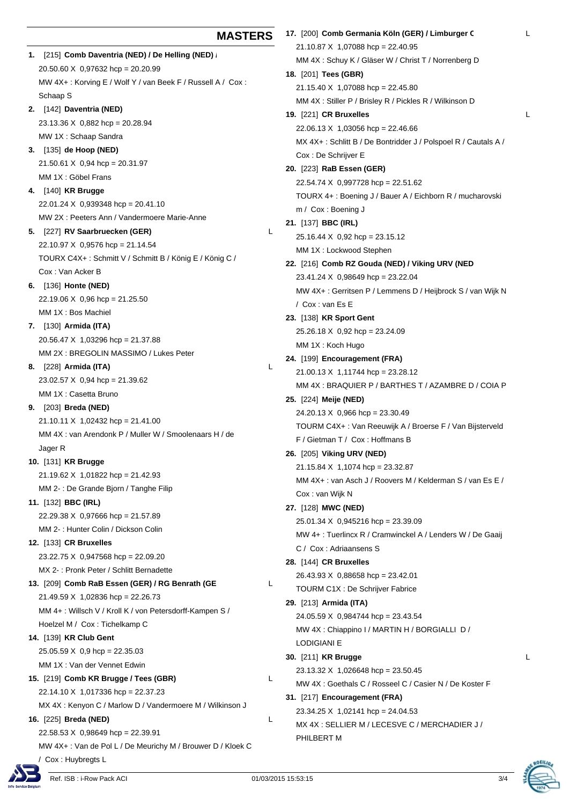| [215] Comb Daventria (NED) / De Helling (NED)<br>1.        |   |
|------------------------------------------------------------|---|
| 20.50.60 X 0,97632 hcp = 20.20.99                          |   |
| MW 4X+: Korving E / Wolf Y / van Beek F / Russell A / Cox: |   |
| Schaap S                                                   |   |
| 2. [142] Daventria (NED)                                   |   |
| 23.13.36 X 0,882 hcp = 20.28.94                            |   |
| MW 1X: Schaap Sandra                                       |   |
| 3. [135] de Hoop (NED)                                     |   |
| $21.50.61 \times 0.94$ hcp = 20.31.97                      |   |
| MM 1X : Göbel Frans                                        |   |
| 4. [140] KR Brugge                                         |   |
| 22.01.24 X 0,939348 hcp = 20.41.10                         |   |
| MW 2X: Peeters Ann / Vandermoere Marie-Anne                |   |
| 5. [227] RV Saarbruecken (GER)                             | L |
| 22.10.97 X 0,9576 hcp = 21.14.54                           |   |
| TOURX C4X+: Schmitt V / Schmitt B / König E / König C /    |   |
| Cox: Van Acker B                                           |   |
| 6. [136] Honte (NED)                                       |   |
| 22.19.06 X 0,96 hcp = 21.25.50                             |   |
| MM 1X : Bos Machiel                                        |   |
| 7. [130] Armida (ITA)                                      |   |
| 20.56.47 X 1,03296 hcp = 21.37.88                          |   |
| MM 2X : BREGOLIN MASSIMO / Lukes Peter                     |   |
| 8. [228] Armida (ITA)                                      | L |
| 23.02.57 X 0,94 hcp = 21.39.62                             |   |
| MM 1X : Casetta Bruno                                      |   |
| 9. [203] Breda (NED)                                       |   |
| 21.10.11 X 1,02432 hcp = 21.41.00                          |   |
| MM 4X : van Arendonk P / Muller W / Smoolenaars H / de     |   |
| Jager R                                                    |   |
| <b>10.</b> [131] KR Brugge                                 |   |
| 21.19.62 X 1,01822 hcp = 21.42.93                          |   |
| MM 2- : De Grande Bjorn / Tanghe Filip                     |   |
| 11. [132] <b>BBC (IRL)</b>                                 |   |
| 22.29.38 X 0,97666 hcp = 21.57.89                          |   |
| MM 2-: Hunter Colin / Dickson Colin                        |   |
| 12. [133] CR Bruxelles                                     |   |
| 23.22.75 X 0,947568 hcp = 22.09.20                         |   |
| MX 2 : Pronk Peter / Schlitt Bernadette                    |   |
| 13. [209] Comb RaB Essen (GER) / RG Benrath (GE            | L |
| 21.49.59 X 1,02836 hcp = 22.26.73                          |   |
| MM 4+: Willsch V / Kroll K / von Petersdorff-Kampen S /    |   |
| Hoelzel M / Cox: Tichelkamp C                              |   |
| <b>14.</b> [139] KR Club Gent                              |   |
| $25.05.59 \times 0.9$ hcp = 22.35.03                       |   |
| MM 1X : Van der Vennet Edwin                               |   |
| 15. [219] Comb KR Brugge / Tees (GBR)                      | L |
|                                                            |   |
| 22.14.10 X 1,017336 hcp = 22.37.23                         |   |
| MX 4X : Kenyon C / Marlow D / Vandermoere M / Wilkinson J  |   |
| 16. [225] Breda (NED)                                      | L |
| 22.58.53 X 0,98649 hcp = 22.39.91                          |   |

**MASTERS**

MW 4X+ : Van de Pol L / De Meurichy M / Brouwer D / Kloek C Cox: Huybregts L

MM 4X : Stiller P / Brisley R / Pickles R / Wikinson D

\n**19.** [221] **CR Bruxelles**

\n22.06.13 X 1,03056 
$$
hop = 22.46.66
$$

\nMX 4X+: Schlitt B / De Bontridder J / Polspoel R / Cautals A / Cox : De Schrijver E

\n**20.** [223] **RaB Essen (GER)**

\n22.54.74 X 0,997728  $hop = 22.51.62$ 

\nTOURX 4+: Boening J / Bauer A / Eichborn R / mucharovski m / Cox : Boeing J

\n**21.** [137] **BBC (IRL)**

\n25.16.44 X 0,92  $hop = 23.15.12$ 

\nMM 1X : Lockwood Stephen

**22.** [216] **Comb RZ Gouda (NED) / Viking URV (NED)** 23.41.24 X 0,98649 hcp = 23.22.04 MW 4X+ : Gerritsen P / Lemmens D / Heijbrock S / van Wijk N / Cox : van Es E **23.** [138] **KR Sport Gent** 25.26.18 X 0,92 hcp = 23.24.09 MM 1X : Koch Hugo **24.** [199] **Encouragement (FRA)** 21.00.13 X 1,11744 hcp = 23.28.12 MM 4X : BRAQUIER P / BARTHES T / AZAMBRE D / COIA P **25.** [224] **Meije (NED)** 24.20.13 X 0,966 hcp = 23.30.49 TOURM C4X+ : Van Reeuwijk A / Broerse F / Van Bijsterveld F / Gietman T / Cox : Hoffmans B

**26.** [205] **Viking URV (NED)**  $21.15.84 \times 1.1074$  hcp = 23.32.87 MM 4X+ : van Asch J / Roovers M / Kelderman S / van Es E / Cox : van Wijk N

#### **27.** [128] **MWC (NED)**

25.01.34 X 0,945216 hcp = 23.39.09

21.10.87 X 1,07088 hcp = 22.40.95

21.15.40 X 1,07088 hcp = 22.45.80

22.06.13 X 1,03056 hcp = 22.46.66

22.54.74 X 0,997728 hcp = 22.51.62

25.16.44 X 0,92 hcp = 23.15.12 MM 1X : Lockwood Stephen

**18.** [201] **Tees (GBR)**

Cox : De Schrijver E **20.** [223] **RaB Essen (GER)**

m / Cox : Boening J **21.** [137] **BBC (IRL)**

MM 4X : Schuy K / Gläser W / Christ T / Norrenberg D

MW 4+ : Tuerlincx R / Cramwinckel A / Lenders W / De Gaaij C / Cox : Adriaansens S

### **28.** [144] **CR Bruxelles**

26.43.93 X 0,88658 hcp = 23.42.01 TOURM C1X : De Schrijver Fabrice **29.** [213] **Armida (ITA)**

24.05.59 X 0,984744 hcp = 23.43.54 MW 4X : Chiappino I / MARTIN H / BORGIALLI D / LODIGIANI E

#### **30.** [211] **KR Brugge** L 23.13.32 X 1,026648 hcp = 23.50.45

MW 4X : Goethals C / Rosseel C / Casier N / De Koster F **31.** [217] **Encouragement (FRA)**

23.34.25 X 1,02141 hcp = 24.04.53

MX 4X : SELLIER M / LECESVE C / MERCHADIER J / PHILBERT M

**17.** [200] **Comb Germania Köln (GER) / Limburger C**